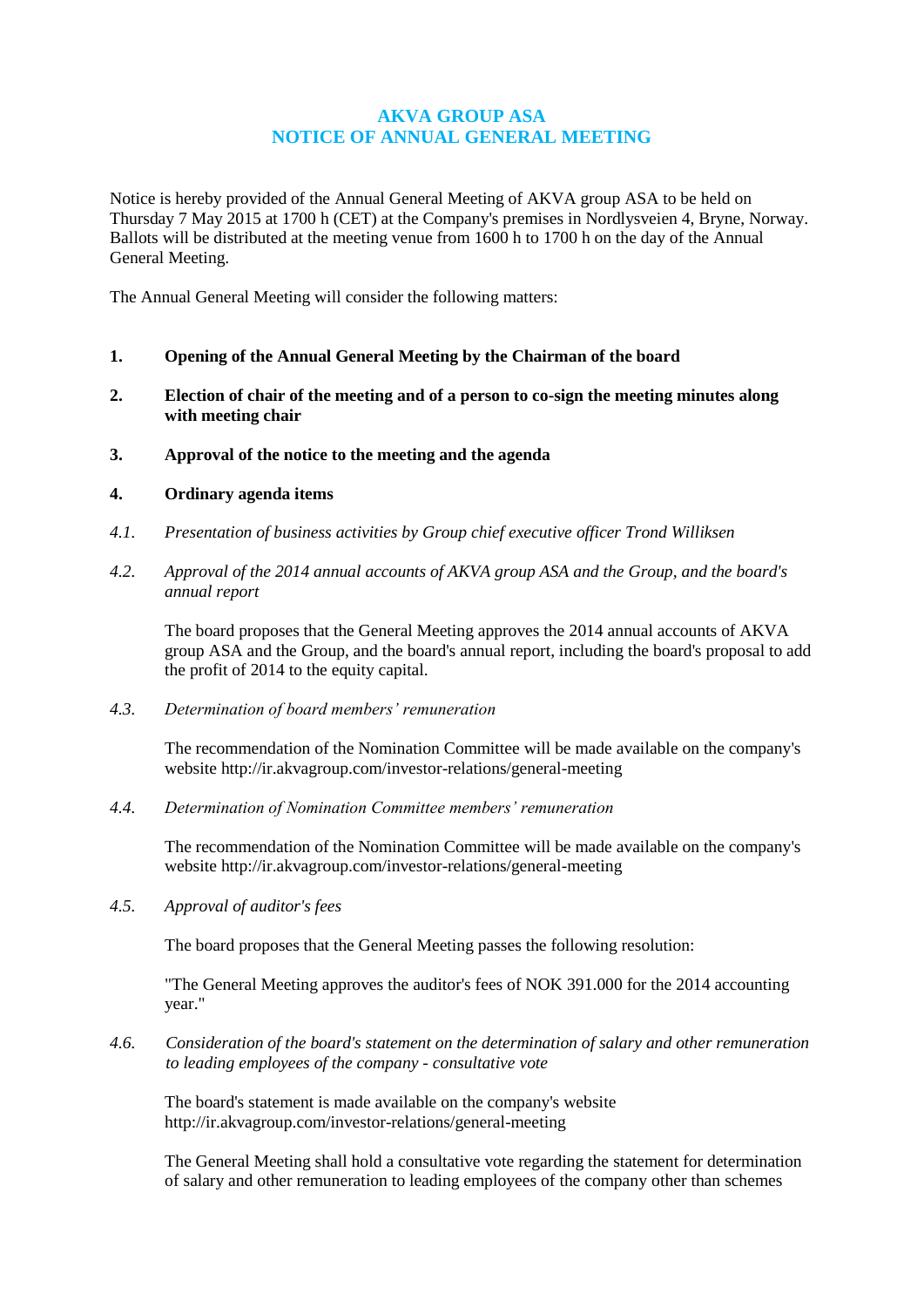# **AKVA GROUP ASA NOTICE OF ANNUAL GENERAL MEETING**

Notice is hereby provided of the Annual General Meeting of AKVA group ASA to be held on Thursday 7 May 2015 at 1700 h (CET) at the Company's premises in Nordlysveien 4, Bryne, Norway. Ballots will be distributed at the meeting venue from 1600 h to 1700 h on the day of the Annual General Meeting.

The Annual General Meeting will consider the following matters:

- **1. Opening of the Annual General Meeting by the Chairman of the board**
- **2. Election of chair of the meeting and of a person to co-sign the meeting minutes along with meeting chair**
- **3. Approval of the notice to the meeting and the agenda**

### **4. Ordinary agenda items**

- *4.1. Presentation of business activities by Group chief executive officer Trond Williksen*
- *4.2. Approval of the 2014 annual accounts of AKVA group ASA and the Group, and the board's annual report*

The board proposes that the General Meeting approves the 2014 annual accounts of AKVA group ASA and the Group, and the board's annual report, including the board's proposal to add the profit of 2014 to the equity capital.

*4.3. Determination of board members' remuneration*

The recommendation of the Nomination Committee will be made available on the company's website<http://ir.akvagroup.com/investor-relations/general-meeting>

*4.4. Determination of Nomination Committee members' remuneration*

The recommendation of the Nomination Committee will be made available on the company's website<http://ir.akvagroup.com/investor-relations/general-meeting>

*4.5. Approval of auditor's fees*

The board proposes that the General Meeting passes the following resolution:

"The General Meeting approves the auditor's fees of NOK 391.000 for the 2014 accounting year."

*4.6. Consideration of the board's statement on the determination of salary and other remuneration to leading employees of the company - consultative vote*

The board's statement is made available on the company's website <http://ir.akvagroup.com/investor-relations/general-meeting>

The General Meeting shall hold a consultative vote regarding the statement for determination of salary and other remuneration to leading employees of the company other than schemes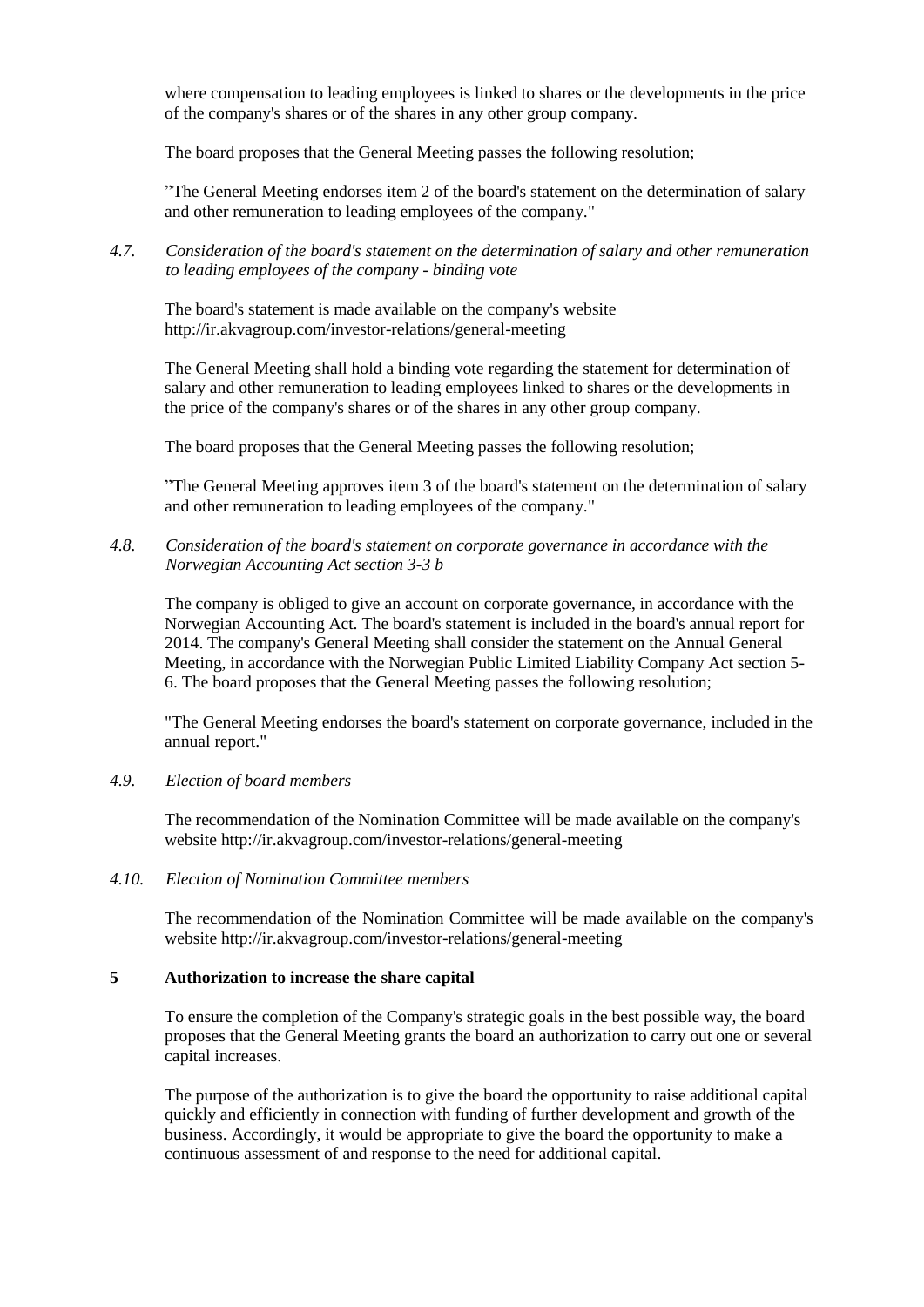where compensation to leading employees is linked to shares or the developments in the price of the company's shares or of the shares in any other group company.

The board proposes that the General Meeting passes the following resolution;

"The General Meeting endorses item 2 of the board's statement on the determination of salary and other remuneration to leading employees of the company."

*4.7. Consideration of the board's statement on the determination of salary and other remuneration to leading employees of the company - binding vote*

The board's statement is made available on the company's website <http://ir.akvagroup.com/investor-relations/general-meeting>

The General Meeting shall hold a binding vote regarding the statement for determination of salary and other remuneration to leading employees linked to shares or the developments in the price of the company's shares or of the shares in any other group company.

The board proposes that the General Meeting passes the following resolution;

"The General Meeting approves item 3 of the board's statement on the determination of salary and other remuneration to leading employees of the company."

*4.8. Consideration of the board's statement on corporate governance in accordance with the Norwegian Accounting Act section 3-3 b*

The company is obliged to give an account on corporate governance, in accordance with the Norwegian Accounting Act. The board's statement is included in the board's annual report for 2014. The company's General Meeting shall consider the statement on the Annual General Meeting, in accordance with the Norwegian Public Limited Liability Company Act section 5- 6. The board proposes that the General Meeting passes the following resolution;

"The General Meeting endorses the board's statement on corporate governance, included in the annual report."

### *4.9. Election of board members*

The recommendation of the Nomination Committee will be made available on the company's website<http://ir.akvagroup.com/investor-relations/general-meeting>

### *4.10. Election of Nomination Committee members*

The recommendation of the Nomination Committee will be made available on the company's website<http://ir.akvagroup.com/investor-relations/general-meeting>

### **5 Authorization to increase the share capital**

To ensure the completion of the Company's strategic goals in the best possible way, the board proposes that the General Meeting grants the board an authorization to carry out one or several capital increases.

The purpose of the authorization is to give the board the opportunity to raise additional capital quickly and efficiently in connection with funding of further development and growth of the business. Accordingly, it would be appropriate to give the board the opportunity to make a continuous assessment of and response to the need for additional capital.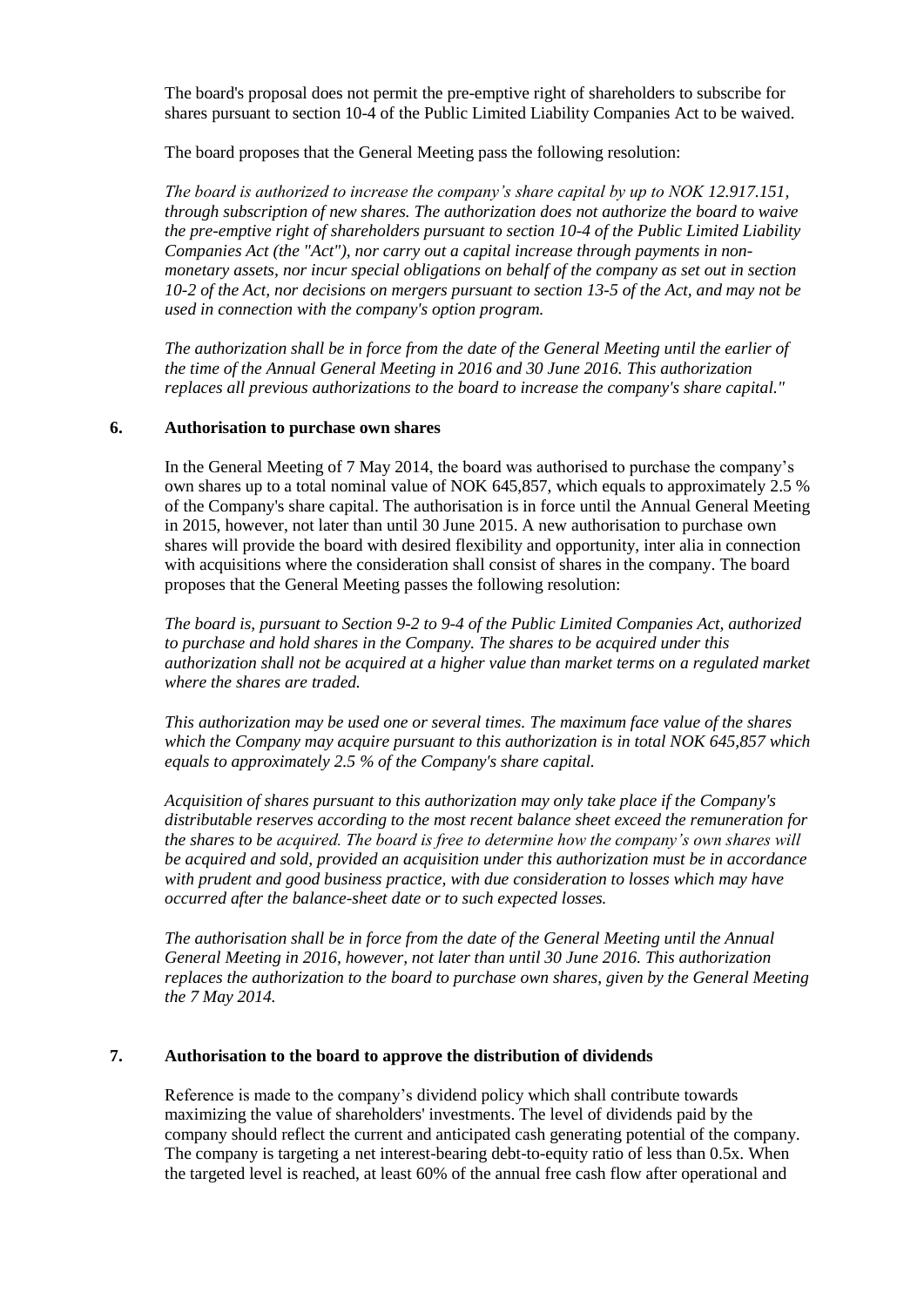The board's proposal does not permit the pre-emptive right of shareholders to subscribe for shares pursuant to section 10-4 of the Public Limited Liability Companies Act to be waived.

The board proposes that the General Meeting pass the following resolution:

*The board is authorized to increase the company's share capital by up to NOK 12.917.151, through subscription of new shares. The authorization does not authorize the board to waive the pre-emptive right of shareholders pursuant to section 10-4 of the Public Limited Liability Companies Act (the "Act"), nor carry out a capital increase through payments in nonmonetary assets, nor incur special obligations on behalf of the company as set out in section 10-2 of the Act, nor decisions on mergers pursuant to section 13-5 of the Act, and may not be used in connection with the company's option program.* 

*The authorization shall be in force from the date of the General Meeting until the earlier of the time of the Annual General Meeting in 2016 and 30 June 2016. This authorization replaces all previous authorizations to the board to increase the company's share capital."*

### **6. Authorisation to purchase own shares**

In the General Meeting of 7 May 2014, the board was authorised to purchase the company's own shares up to a total nominal value of NOK 645,857, which equals to approximately 2.5 % of the Company's share capital. The authorisation is in force until the Annual General Meeting in 2015, however, not later than until 30 June 2015. A new authorisation to purchase own shares will provide the board with desired flexibility and opportunity, inter alia in connection with acquisitions where the consideration shall consist of shares in the company. The board proposes that the General Meeting passes the following resolution:

*The board is, pursuant to Section 9-2 to 9-4 of the Public Limited Companies Act, authorized to purchase and hold shares in the Company. The shares to be acquired under this authorization shall not be acquired at a higher value than market terms on a regulated market where the shares are traded.*

*This authorization may be used one or several times. The maximum face value of the shares which the Company may acquire pursuant to this authorization is in total NOK 645,857 which equals to approximately 2.5 % of the Company's share capital.*

*Acquisition of shares pursuant to this authorization may only take place if the Company's distributable reserves according to the most recent balance sheet exceed the remuneration for the shares to be acquired. The board is free to determine how the company's own shares will be acquired and sold, provided an acquisition under this authorization must be in accordance with prudent and good business practice, with due consideration to losses which may have occurred after the balance-sheet date or to such expected losses.*

*The authorisation shall be in force from the date of the General Meeting until the Annual General Meeting in 2016, however, not later than until 30 June 2016. This authorization replaces the authorization to the board to purchase own shares, given by the General Meeting the 7 May 2014.*

## **7. Authorisation to the board to approve the distribution of dividends**

Reference is made to the company's dividend policy which shall contribute towards maximizing the value of shareholders' investments. The level of dividends paid by the company should reflect the current and anticipated cash generating potential of the company. The company is targeting a net interest-bearing debt-to-equity ratio of less than 0.5x. When the targeted level is reached, at least 60% of the annual free cash flow after operational and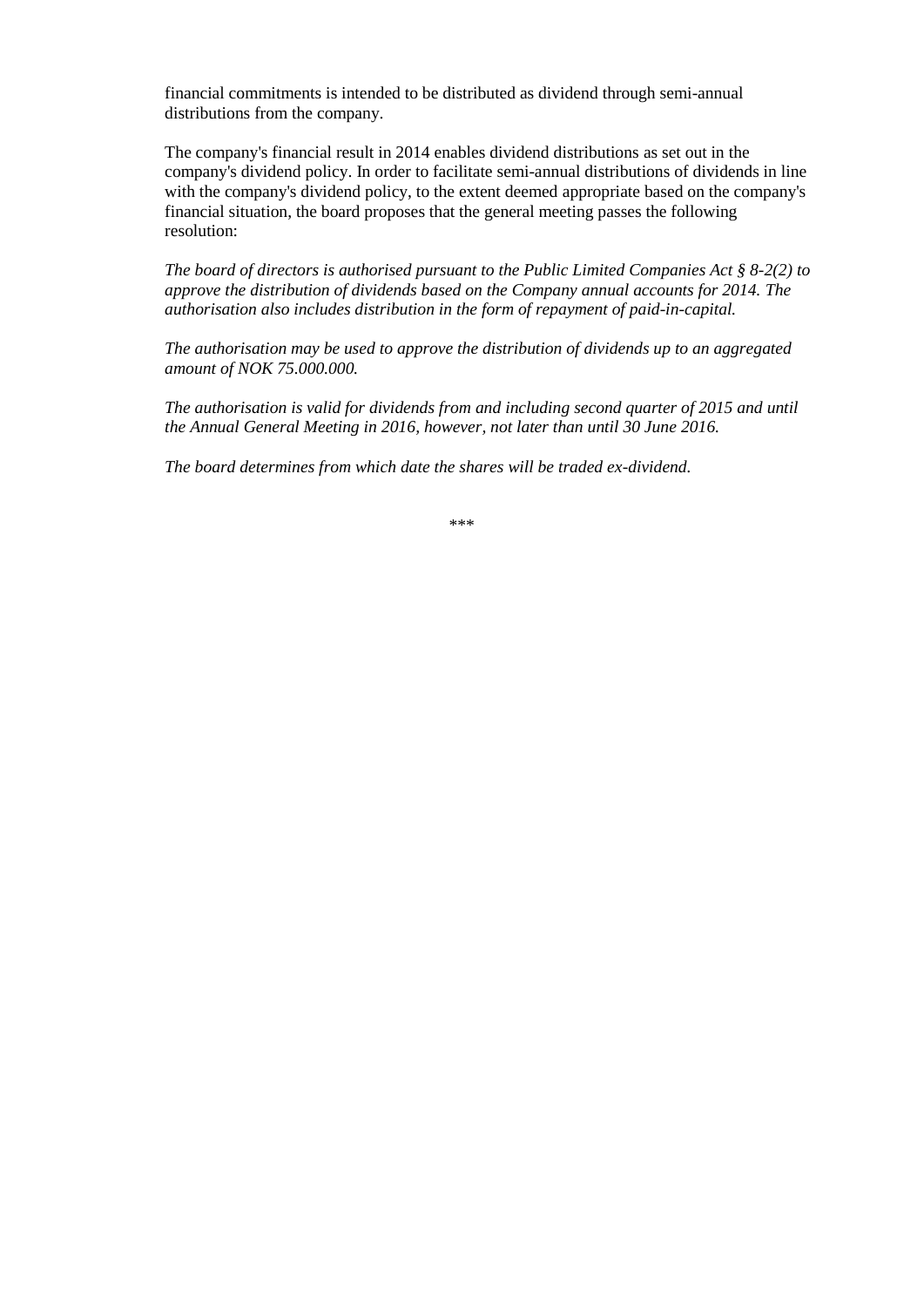financial commitments is intended to be distributed as dividend through semi-annual distributions from the company.

The company's financial result in 2014 enables dividend distributions as set out in the company's dividend policy. In order to facilitate semi-annual distributions of dividends in line with the company's dividend policy, to the extent deemed appropriate based on the company's financial situation, the board proposes that the general meeting passes the following resolution:

*The board of directors is authorised pursuant to the Public Limited Companies Act § 8-2(2) to approve the distribution of dividends based on the Company annual accounts for 2014. The authorisation also includes distribution in the form of repayment of paid-in-capital.* 

*The authorisation may be used to approve the distribution of dividends up to an aggregated amount of NOK 75.000.000.* 

*The authorisation is valid for dividends from and including second quarter of 2015 and until the Annual General Meeting in 2016, however, not later than until 30 June 2016.*

*The board determines from which date the shares will be traded ex-dividend.* 

\*\*\*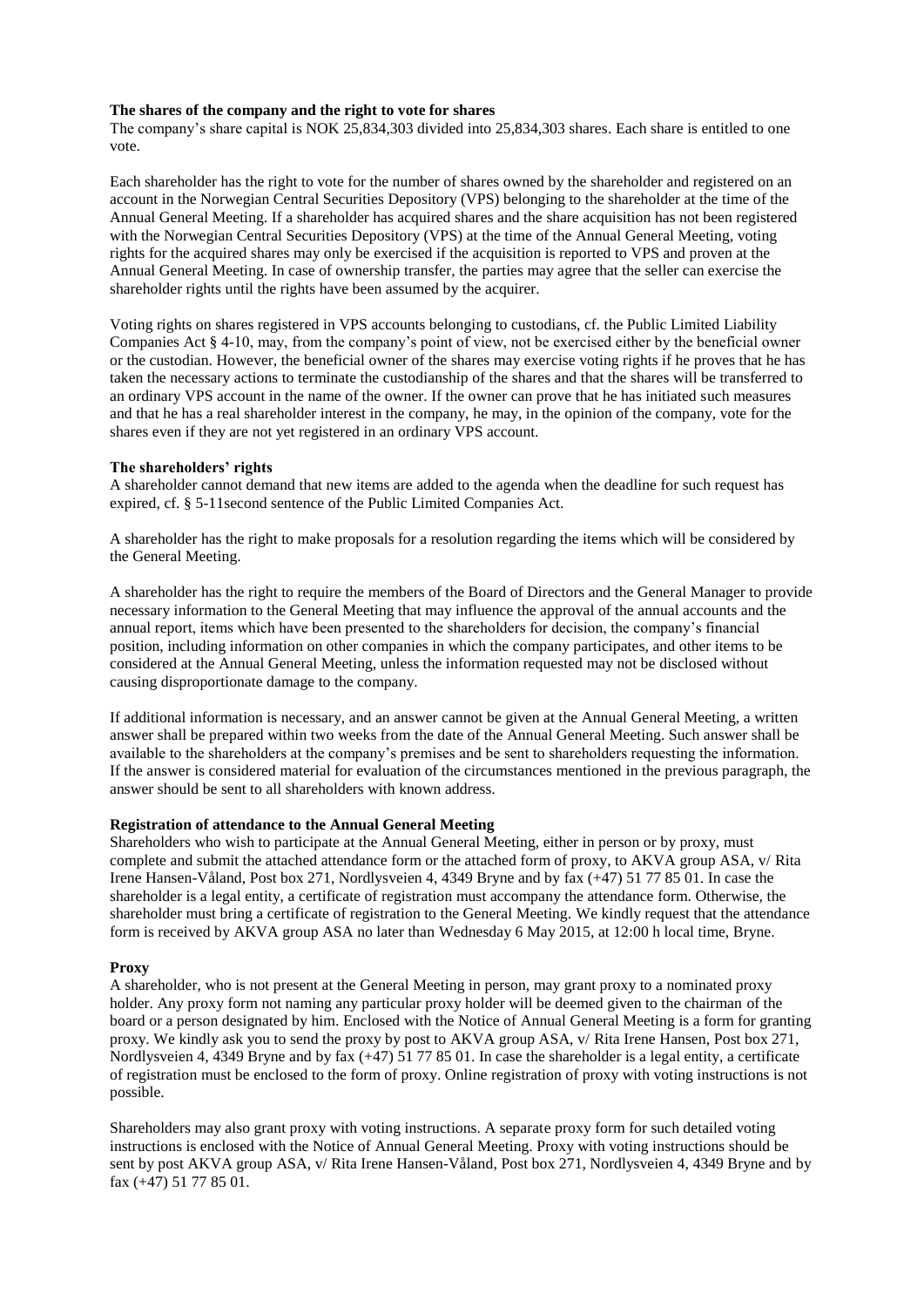#### **The shares of the company and the right to vote for shares**

The company's share capital is NOK 25,834,303 divided into 25,834,303 shares. Each share is entitled to one vote.

Each shareholder has the right to vote for the number of shares owned by the shareholder and registered on an account in the Norwegian Central Securities Depository (VPS) belonging to the shareholder at the time of the Annual General Meeting. If a shareholder has acquired shares and the share acquisition has not been registered with the Norwegian Central Securities Depository (VPS) at the time of the Annual General Meeting, voting rights for the acquired shares may only be exercised if the acquisition is reported to VPS and proven at the Annual General Meeting. In case of ownership transfer, the parties may agree that the seller can exercise the shareholder rights until the rights have been assumed by the acquirer.

Voting rights on shares registered in VPS accounts belonging to custodians, cf. the Public Limited Liability Companies Act § 4-10, may, from the company's point of view, not be exercised either by the beneficial owner or the custodian. However, the beneficial owner of the shares may exercise voting rights if he proves that he has taken the necessary actions to terminate the custodianship of the shares and that the shares will be transferred to an ordinary VPS account in the name of the owner. If the owner can prove that he has initiated such measures and that he has a real shareholder interest in the company, he may, in the opinion of the company, vote for the shares even if they are not yet registered in an ordinary VPS account.

#### **The shareholders' rights**

A shareholder cannot demand that new items are added to the agenda when the deadline for such request has expired, cf. § 5-11second sentence of the Public Limited Companies Act.

A shareholder has the right to make proposals for a resolution regarding the items which will be considered by the General Meeting.

A shareholder has the right to require the members of the Board of Directors and the General Manager to provide necessary information to the General Meeting that may influence the approval of the annual accounts and the annual report, items which have been presented to the shareholders for decision, the company's financial position, including information on other companies in which the company participates, and other items to be considered at the Annual General Meeting, unless the information requested may not be disclosed without causing disproportionate damage to the company.

If additional information is necessary, and an answer cannot be given at the Annual General Meeting, a written answer shall be prepared within two weeks from the date of the Annual General Meeting. Such answer shall be available to the shareholders at the company's premises and be sent to shareholders requesting the information. If the answer is considered material for evaluation of the circumstances mentioned in the previous paragraph, the answer should be sent to all shareholders with known address.

#### **Registration of attendance to the Annual General Meeting**

Shareholders who wish to participate at the Annual General Meeting, either in person or by proxy, must complete and submit the attached attendance form or the attached form of proxy, to AKVA group ASA, v/ Rita Irene Hansen-Våland, Post box 271, Nordlysveien 4, 4349 Bryne and by fax (+47) 51 77 85 01. In case the shareholder is a legal entity, a certificate of registration must accompany the attendance form. Otherwise, the shareholder must bring a certificate of registration to the General Meeting. We kindly request that the attendance form is received by AKVA group ASA no later than Wednesday 6 May 2015, at 12:00 h local time, Bryne.

#### **Proxy**

A shareholder, who is not present at the General Meeting in person, may grant proxy to a nominated proxy holder. Any proxy form not naming any particular proxy holder will be deemed given to the chairman of the board or a person designated by him. Enclosed with the Notice of Annual General Meeting is a form for granting proxy. We kindly ask you to send the proxy by post to AKVA group ASA, v/ Rita Irene Hansen, Post box 271, Nordlysveien 4, 4349 Bryne and by fax (+47) 51 77 85 01. In case the shareholder is a legal entity, a certificate of registration must be enclosed to the form of proxy. Online registration of proxy with voting instructions is not possible.

Shareholders may also grant proxy with voting instructions. A separate proxy form for such detailed voting instructions is enclosed with the Notice of Annual General Meeting. Proxy with voting instructions should be sent by post AKVA group ASA, v/ Rita Irene Hansen-Våland, Post box 271, Nordlysveien 4, 4349 Bryne and by fax (+47) 51 77 85 01.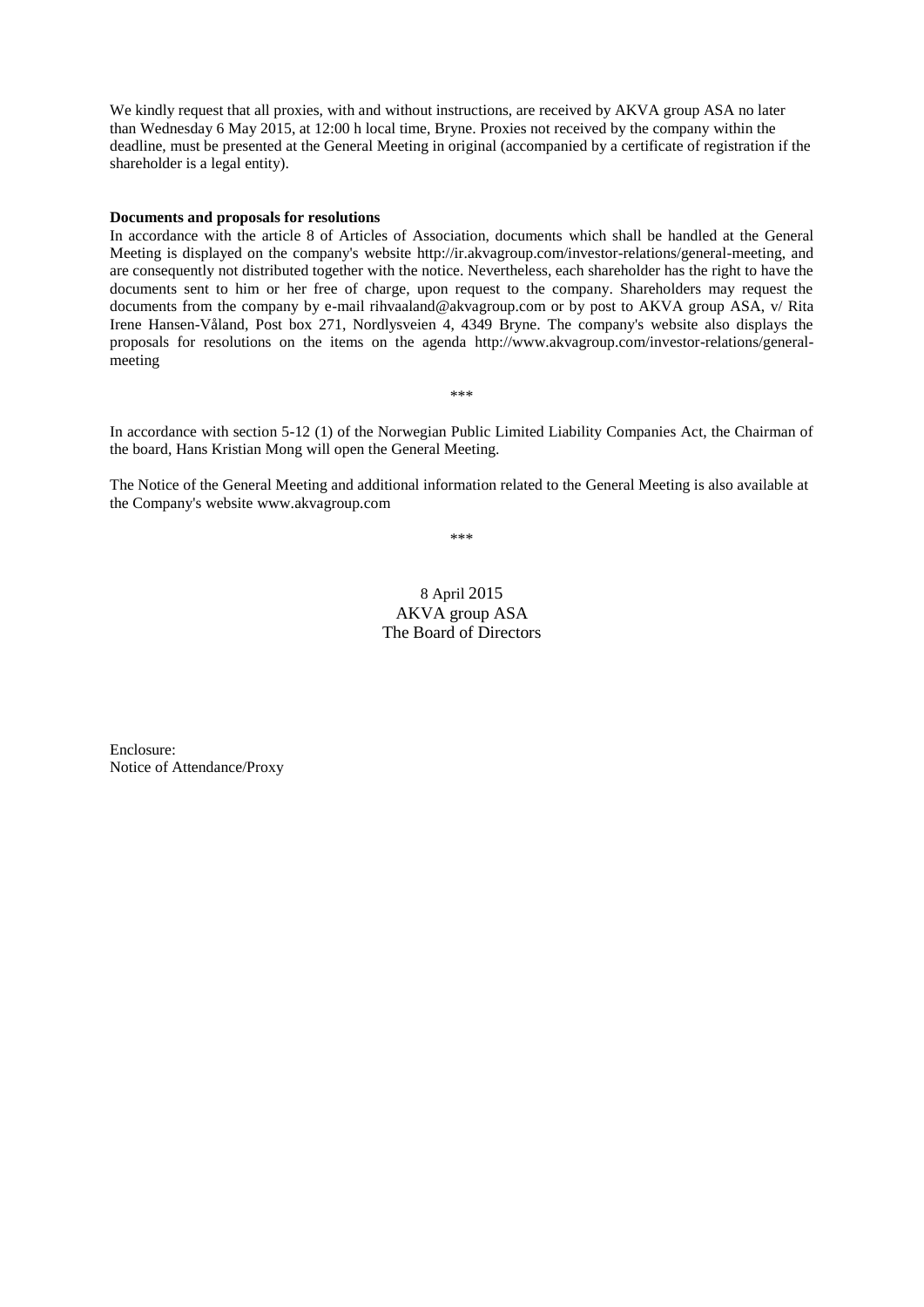We kindly request that all proxies, with and without instructions, are received by AKVA group ASA no later than Wednesday 6 May 2015, at 12:00 h local time, Bryne. Proxies not received by the company within the deadline, must be presented at the General Meeting in original (accompanied by a certificate of registration if the shareholder is a legal entity).

#### **Documents and proposals for resolutions**

In accordance with the article 8 of Articles of Association, documents which shall be handled at the General Meeting is displayed on the company's website [http://ir.akvagroup.com/investor-relations/general-meeting,](http://ir.akvagroup.com/investor-relations/general-meeting) and are consequently not distributed together with the notice. Nevertheless, each shareholder has the right to have the documents sent to him or her free of charge, upon request to the company. Shareholders may request the documents from the company by e-mail rihvaaland@akvagroup.com or by post to AKVA group ASA, v/ Rita Irene Hansen-Våland, Post box 271, Nordlysveien 4, 4349 Bryne. The company's website also displays the proposals for resolutions on the items on the agenda http://www.akvagroup.com/investor-relations/generalmeeting

In accordance with section 5-12 (1) of the Norwegian Public Limited Liability Companies Act, the Chairman of the board, Hans Kristian Mong will open the General Meeting.

\*\*\*

The Notice of the General Meeting and additional information related to the General Meeting is also available at the Company's website www.akvagroup.com

\*\*\*

8 April 2015 AKVA group ASA The Board of Directors

Enclosure: Notice of Attendance/Proxy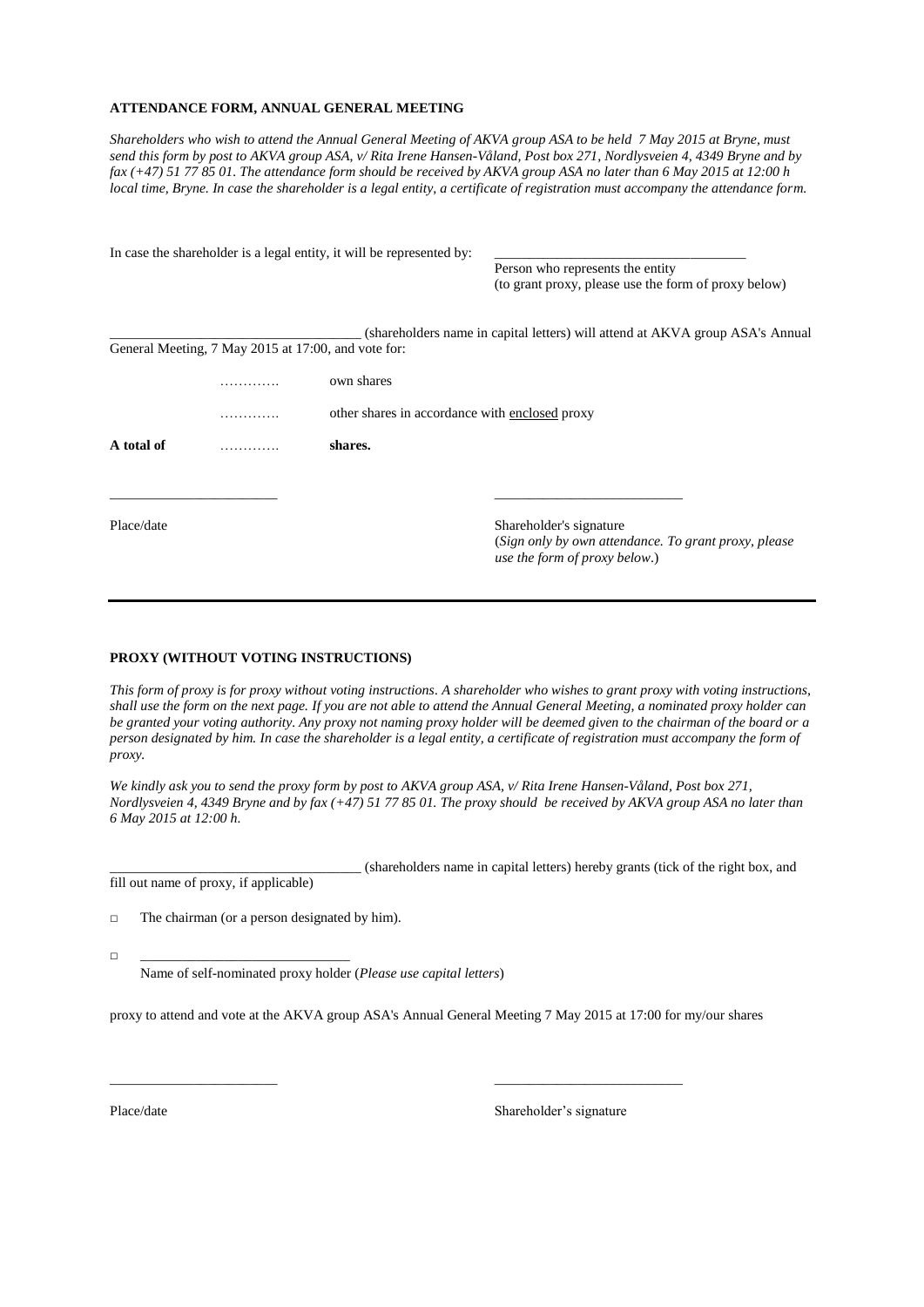#### **ATTENDANCE FORM, ANNUAL GENERAL MEETING**

*Shareholders who wish to attend the Annual General Meeting of AKVA group ASA to be held 7 May 2015 at Bryne, must send this form by post to AKVA group ASA*, *v/ Rita Irene Hansen-Våland, Post box 271, Nordlysveien 4, 4349 Bryne and by fax (+47) 51 77 85 01. The attendance form should be received by AKVA group ASA no later than 6 May 2015 at 12:00 h local time, Bryne. In case the shareholder is a legal entity, a certificate of registration must accompany the attendance form.* 

|            |                                                     | In case the shareholder is a legal entity, it will be represented by: |                                                                                       |  |
|------------|-----------------------------------------------------|-----------------------------------------------------------------------|---------------------------------------------------------------------------------------|--|
|            |                                                     |                                                                       | Person who represents the entity                                                      |  |
|            |                                                     |                                                                       | (to grant proxy, please use the form of proxy below)                                  |  |
|            |                                                     |                                                                       | (shareholders name in capital letters) will attend at AKVA group ASA's Annual         |  |
|            | General Meeting, 7 May 2015 at 17:00, and vote for: |                                                                       |                                                                                       |  |
|            |                                                     | own shares                                                            |                                                                                       |  |
|            |                                                     | other shares in accordance with enclosed proxy                        |                                                                                       |  |
| A total of |                                                     | shares.                                                               |                                                                                       |  |
|            |                                                     |                                                                       |                                                                                       |  |
| Place/date |                                                     |                                                                       | Shareholder's signature                                                               |  |
|            |                                                     |                                                                       | (Sign only by own attendance. To grant proxy, please<br>use the form of proxy below.) |  |

#### **PROXY (WITHOUT VOTING INSTRUCTIONS)**

*This form of proxy is for proxy without voting instructions. A shareholder who wishes to grant proxy with voting instructions, shall use the form on the next page. If you are not able to attend the Annual General Meeting, a nominated proxy holder can be granted your voting authority. Any proxy not naming proxy holder will be deemed given to the chairman of the board or a person designated by him. In case the shareholder is a legal entity, a certificate of registration must accompany the form of proxy.*

*We kindly ask you to send the proxy form by post to AKVA group ASA, v/ Rita Irene Hansen-Våland, Post box 271, Nordlysveien 4, 4349 Bryne and by fax (+47) 51 77 85 01. The proxy should be received by AKVA group ASA no later than 6 May 2015 at 12:00 h.*

\_\_\_\_\_\_\_\_\_\_\_\_\_\_\_\_\_\_\_\_\_\_\_\_\_\_\_\_\_\_\_\_\_\_\_\_ (shareholders name in capital letters) hereby grants (tick of the right box, and fill out name of proxy, if applicable)

 $\Box$  The chairman (or a person designated by him).

□ \_\_\_\_\_\_\_\_\_\_\_\_\_\_\_\_\_\_\_\_\_\_\_\_\_\_\_\_\_\_

Name of self-nominated proxy holder (*Please use capital letters*)

proxy to attend and vote at the AKVA group ASA's Annual General Meeting 7 May 2015 at 17:00 for my/our shares

\_\_\_\_\_\_\_\_\_\_\_\_\_\_\_\_\_\_\_\_\_\_\_\_ \_\_\_\_\_\_\_\_\_\_\_\_\_\_\_\_\_\_\_\_\_\_\_\_\_\_\_

Place/date Shareholder's signature